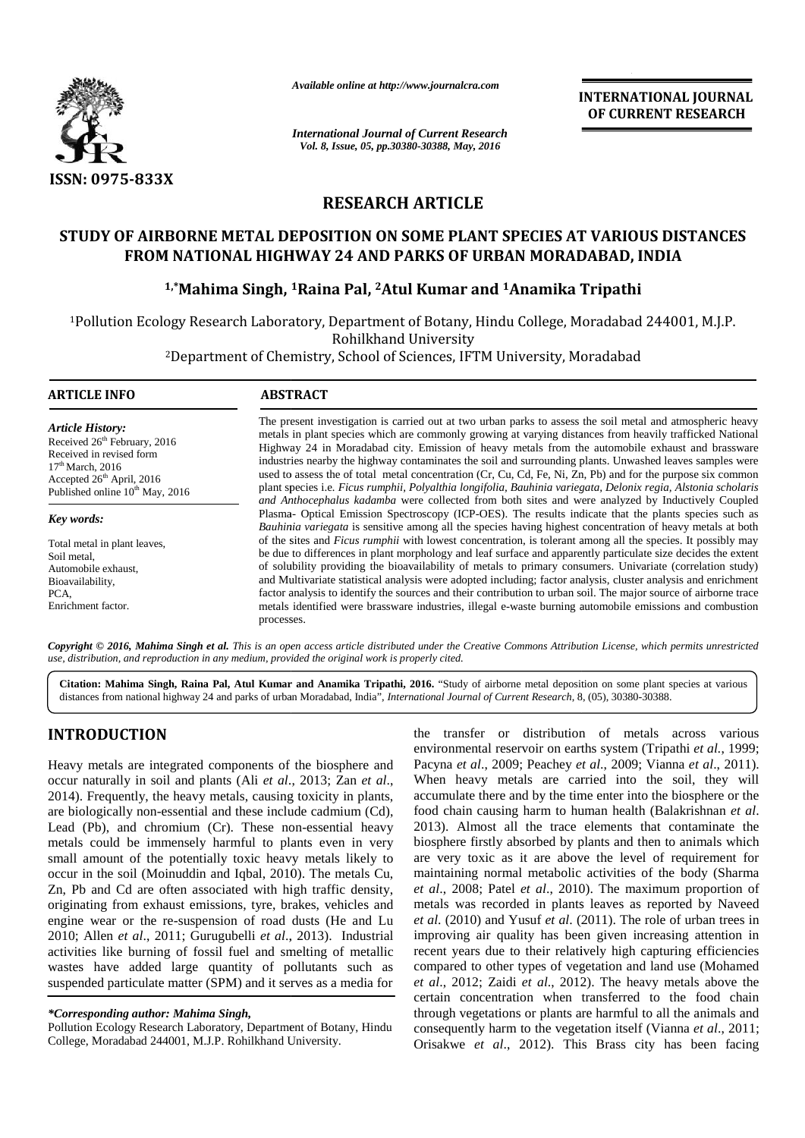

*Available online at http://www.journalcra.com*

*International Journal of Current Research Vol. 8, Issue, 05, pp.30380-30388, May, 2016*

**INTERNATIONAL JOURNAL OF CURRENT RESEARCH**

# **RESEARCH ARTICLE RESEARCH**

# STUDY OF AIRBORNE METAL DEPOSITION ON SOME PLANT SPECIES AT VARIOUS DISTANCES<br>FROM NATIONAL HIGHWAY 24 AND PARKS OF URBAN MORADABAD, INDIA<br><sup>1,\*</sup>Mahima Singh, <sup>1</sup>Raina Pal, <sup>2</sup>Atul Kumar and <sup>1</sup>Anamika Tripathi **FROM NATIONAL HIGHWAY 24 AND PARKS OF URBAN MORADABAD, INDIA**

# **1,\*Mahima Singh, <sup>1</sup>Raina Pal, <sup>2</sup>Atul Kumar and <sup>1</sup>Anamika Tripathi**

<sup>1</sup>Pollution Ecology Research Laboratory, Department of Botany, Hindu College, Moradabad 244001, M.J.P. Rohilkhand University IPollution Ecology Research Laboratory, Department of Botany, Hindu College, Moradabad 244001,<br>Rohilkhand University<br><sup>2</sup>Department of Chemistry, School of Sciences, IFTM University, Moradabad

#### **ARTICLE INFO ABSTRACT ARTICLE INFO**

*Key words:*

*Article History:* Received 26<sup>th</sup> February, 2016<br>Received in revised form Received in revised form  $17<sup>th</sup>$  March, 2016 Accepted 26<sup>th</sup> April, 2016 Published online  $10^{th}$  May, 2016

Total metal in plant leaves, Soil metal, Automobile exhaust, Bioavailability, PCA, Enrichment factor. Published online 10<sup>th</sup> May,<br>**Key words:**<br>Total metal in plant leaves,<br>Soil metal,<br>Automobile exhaust,

The present investigation is carried out at two urban parks to assess the soil metal and atmospheric heavy metals in plant species which are commonly growing at varying distances from heavily trafficked National Highway 24 in Moradabad city. Emission of heavy metals from the automobile exhaust and brassware industries nearby the highway contaminates the soil and surrounding plants. Unwashed leaves samples were used to assess the of total metal concentration (Cr, Cu, Cd, Fe, Ni, Zn, Pb) and for the purpose six common plant species i.e*. Ficus rumphii, Polyalthia longifolia, Bauhinia variegata, Delonix regia, Alstonia scholaris and Anthocephalus kadamba* were collected from both sites and were analyzed by Inductively Coupled Plasma- Optical Emission Spectroscopy (ICP-OES). The results indicate that the plants species such as *Bauhinia variegata* is sensitive among all the species having highest concentration of heavy metals at both of the sites and *Ficus rumphii* with lowest concentration, is tolerant among all the species. It possibly may be due to differences in plant morphology and leaf surface and apparently particulate size decides the extent of solubility providing the bioavailability of metals to primary consumers. Univariate (correlation study) and Multivariate statistical analysis were adopted including; factor analysis, cluster analysis and enrichment factor analysis to identify the sources and their contribution to urban soil. The major source of airborne trace metals identified were brassware industries, illegal e-waste burning automobile emissions and combustion processes. The present investigation is carried out at two urban parks to assess the soil metal and atmospheric hea<br>metals in plant species which are commonly growing at varying distances from heavily trafficked Nation<br>Highway 24 in *Bauhinia variegata* is sensitive among all the species having highest concentration of heavy metals at both of the sites and *Ficus rumphii* with lowest concentration, is tolerant among all the species. It possibly may be and Multivariate statistical analysis were adopted including; factor analysis, cluster analysis and factor analysis to identify the sources and their contribution to urban soil. The major source of aimetals identified were **Shaust,** the due to differences in plant morphology and leaf surface and apparently particulate size decides of solubility providing the bioavailability of metals to primary consumers. Univariate (correlation) and Multiva

*Copyright © 2016, Mahima Singh et al. This is an open access article distributed under the Creative Commons Attribution License, which permits unrestricted* **Copyright © 2016, Mahima Singh et al.** This is an open access article distributed under the Creative<br>use, distribution, and reproduction in any medium, provided the original work is properly cited.

**Citation: Mahima Singh, Raina Pal, Atul Kumar and Anamika Tripathi, 2016.** "Study of airborne metal deposition on some plant species at various distances from national highway 24 and parks of urban Moradabad, India", *International Journal of Current Research*, 8, (05), 30380-30388.

# **INTRODUCTION INTRODUCTION**

Heavy metals are integrated components of the biosphere and occur naturally in soil and plants (Ali *et al*., 2013; Zan *et al*., 2014). Frequently, the heavy metals, causing toxicity in plants, are biologically non-essential and these include cadmium (Cd), Lead (Pb), and chromium (Cr). These non-essential heavy 2013 metals could be immensely harmful to plants even in very small amount of the potentially toxic heavy metals likely to occur in the soil (Moinuddin and Iqbal, 2010). The metals Cu, Zn, Pb and Cd are often associated with high traffic density,  $\epsilon$ originating from exhaust emissions, tyre, brakes, vehicles and engine wear or the re-suspension of road dusts (He and Lu  $et$  al. 2010; Allen *et al*., 2011; Gurugubelli *et al*., 2013). Industrial 2010; Allen *et al.*, 2011; Gurugubelli *et al.*, 2013). Industrial impractivities like burning of fossil fuel and smelting of metallic rece wastes have added large quantity of pollutants such as wastes have added large quantity of pollutants such as consuspended particulate matter (SPM) and it serves as a media for *et* Heavy metals are integrated components of the biosphere and Pacyn occur naturally in soil and plants (Ali *et al.*, 2013; Zan *et al.*, When 2014). Frequently, the heavy metals, causing toxicity in plants, accurare biologi occur in the soil (Moinuddin and Iqbal, 2010). The metals Cu, maint Zn, Pb and Cd are often associated with high traffic density, *et al.* originating from exhaust emissions, tyre, brakes, vehicles and metal

Pollution Ecology Research Laboratory, Department of Botany, Hindu College, Moradabad 244001, M.J.P. Rohilkhand University.

the transfer or distribution of metals across various environmental reservoir on earths system (Tripathi *et al.*, 1999; Pacyna *et al*., 2009; Peachey *et al*., 2009; Vianna *et al*., 2011). When heavy metals are carried into the soil, they will accumulate there and by the time enter into the biosphere or the food chain causing harm to human health (Balakrishnan *et al*. 2013). Almost all the trace elements that contaminate the biosphere firstly absorbed by plants and then to animals which are very toxic as it are above the level of requirement for maintaining normal metabolic activities of the body (Sharma *et al*., 2008; Patel *et al*., 2010). The maximum proportion of metals was recorded in plants leaves as reported by Naveed *et al*. (2010) and Yusuf *et al*. (2011). The role of urban trees in improving air quality has been given increasing attention in recent years due to their relatively high capturing efficiencies compared to other types of vegetation and land use (Mohamed *et al*., 2012; Zaidi *et al*., 2012). The heavy metals above the certain concentration when transferred to the food chain through vegetations or plants are harmful to all the animals and consequently harm to the vegetation itself (Vianna *et al*., 2011; Orisakwe *et al*., 2012). This Brass city has been facing A consider and the pair of the consider and the pair of the constraints of the constraints of the constraints of the constraints of the constraints of the constraints of the constraints of the constraints of the constrain

*<sup>\*</sup>Corresponding author: Mahima Singh, \*Corresponding*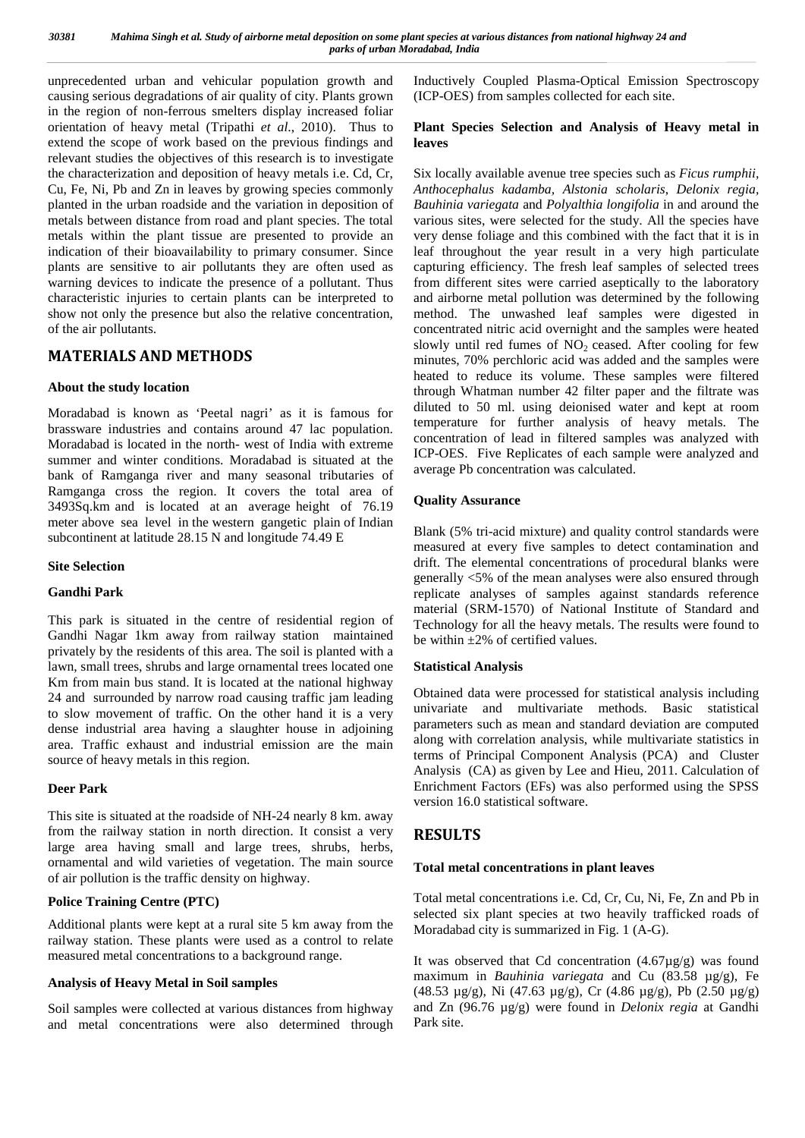unprecedented urban and vehicular population growth and causing serious degradations of air quality of city. Plants grown in the region of non-ferrous smelters display increased foliar orientation of heavy metal (Tripathi *et al*., 2010). Thus to extend the scope of work based on the previous findings and relevant studies the objectives of this research is to investigate the characterization and deposition of heavy metals i.e. Cd, Cr, Cu, Fe, Ni, Pb and Zn in leaves by growing species commonly planted in the urban roadside and the variation in deposition of metals between distance from road and plant species. The total metals within the plant tissue are presented to provide an indication of their bioavailability to primary consumer. Since plants are sensitive to air pollutants they are often used as warning devices to indicate the presence of a pollutant. Thus characteristic injuries to certain plants can be interpreted to show not only the presence but also the relative concentration, of the air pollutants.

# **MATERIALS AND METHODS**

### **About the study location**

Moradabad is known as 'Peetal nagri' as it is famous for brassware industries and contains around 47 lac population. Moradabad is located in the north- west of India with extreme summer and winter conditions. Moradabad is situated at the bank of Ramganga river and many seasonal tributaries of Ramganga cross the region. It covers the total area of 3493Sq.km and is located at an average height of 76.19 meter above sea level in the western gangetic plain of Indian subcontinent at latitude 28.15 N and longitude 74.49 E

#### **Site Selection**

#### **Gandhi Park**

This park is situated in the centre of residential region of Gandhi Nagar 1km away from railway station maintained privately by the residents of this area. The soil is planted with a lawn, small trees, shrubs and large ornamental trees located one Km from main bus stand. It is located at the national highway 24 and surrounded by narrow road causing traffic jam leading to slow movement of traffic. On the other hand it is a very dense industrial area having a slaughter house in adjoining area. Traffic exhaust and industrial emission are the main source of heavy metals in this region.

#### **Deer Park**

This site is situated at the roadside of NH-24 nearly 8 km. away from the railway station in north direction. It consist a very large area having small and large trees, shrubs, herbs, ornamental and wild varieties of vegetation. The main source of air pollution is the traffic density on highway.

#### **Police Training Centre (PTC)**

Additional plants were kept at a rural site 5 km away from the railway station. These plants were used as a control to relate measured metal concentrations to a background range.

#### **Analysis of Heavy Metal in Soil samples**

Soil samples were collected at various distances from highway and metal concentrations were also determined through Inductively Coupled Plasma-Optical Emission Spectroscopy (ICP-OES) from samples collected for each site.

#### **Plant Species Selection and Analysis of Heavy metal in leaves**

Six locally available avenue tree species such as *Ficus rumphii, Anthocephalus kadamba, Alstonia scholaris*, *Delonix regia, Bauhinia variegata* and *Polyalthia longifolia* in and around the various sites, were selected for the study. All the species have very dense foliage and this combined with the fact that it is in leaf throughout the year result in a very high particulate capturing efficiency. The fresh leaf samples of selected trees from different sites were carried aseptically to the laboratory and airborne metal pollution was determined by the following method. The unwashed leaf samples were digested in concentrated nitric acid overnight and the samples were heated slowly until red fumes of  $NO<sub>2</sub>$  ceased. After cooling for few minutes, 70% perchloric acid was added and the samples were heated to reduce its volume. These samples were filtered through Whatman number 42 filter paper and the filtrate was diluted to 50 ml. using deionised water and kept at room temperature for further analysis of heavy metals. The concentration of lead in filtered samples was analyzed with ICP-OES. Five Replicates of each sample were analyzed and average Pb concentration was calculated.

### **Quality Assurance**

Blank (5% tri-acid mixture) and quality control standards were measured at every five samples to detect contamination and drift. The elemental concentrations of procedural blanks were generally <5% of the mean analyses were also ensured through replicate analyses of samples against standards reference material (SRM-1570) of National Institute of Standard and Technology for all the heavy metals. The results were found to be within  $\pm 2\%$  of certified values.

### **Statistical Analysis**

Obtained data were processed for statistical analysis including univariate and multivariate methods. Basic statistical parameters such as mean and standard deviation are computed along with correlation analysis, while multivariate statistics in terms of Principal Component Analysis (PCA) and Cluster Analysis (CA) as given by Lee and Hieu, 2011. Calculation of Enrichment Factors (EFs) was also performed using the SPSS version 16.0 statistical software.

# **RESULTS**

### **Total metal concentrations in plant leaves**

Total metal concentrations i.e. Cd, Cr, Cu, Ni, Fe, Zn and Pb in selected six plant species at two heavily trafficked roads of Moradabad city is summarized in Fig. 1 (A-G).

It was observed that Cd concentration  $(4.67\mu g/g)$  was found maximum in *Bauhinia variegata* and Cu (83.58 µg/g), Fe (48.53 µg/g), Ni (47.63 µg/g), Cr (4.86 µg/g), Pb (2.50 µg/g) and Zn (96.76 µg/g) were found in *Delonix regia* at Gandhi Park site.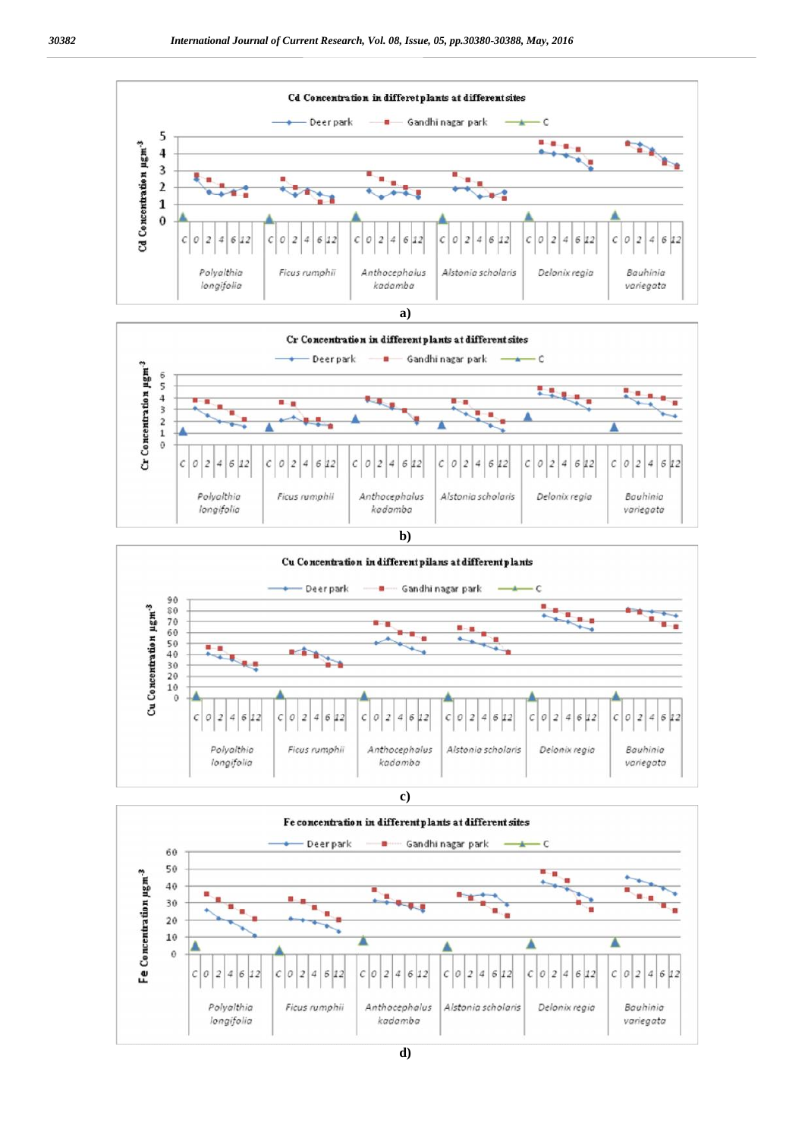







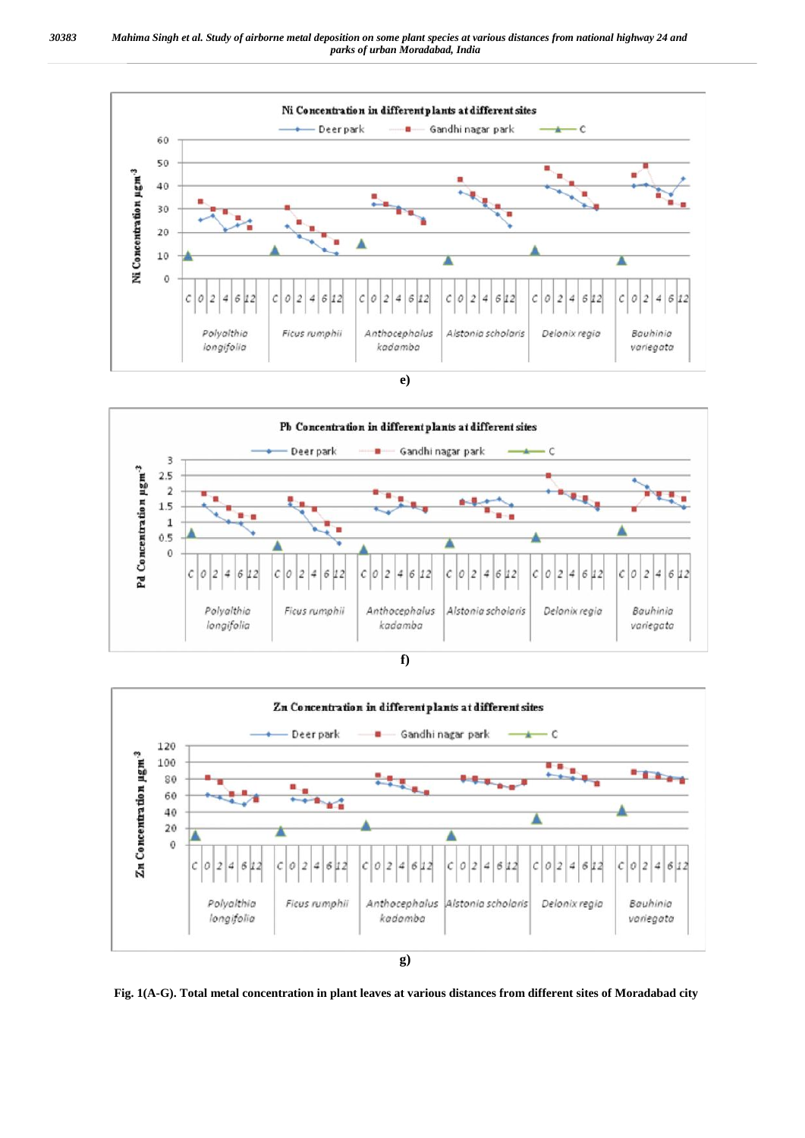





**Fig. 1(A-G). Total metal concentration in plant leaves at various distances from different sites of Moradabad city**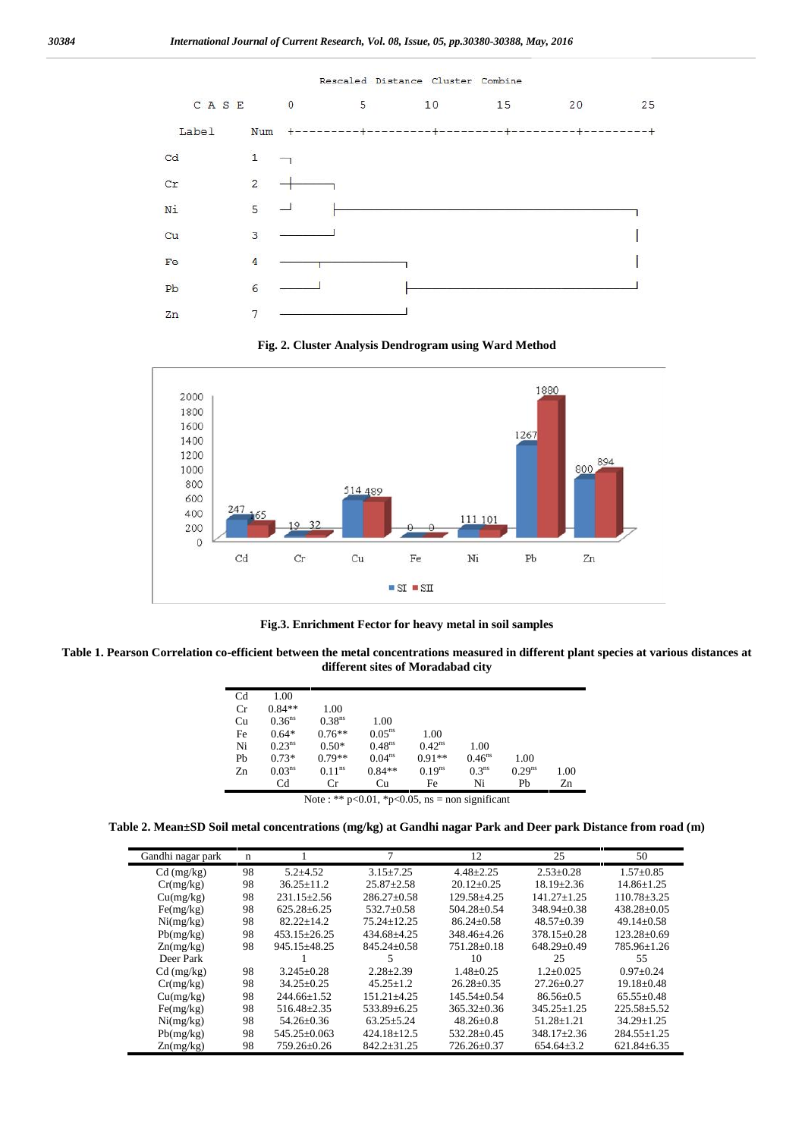

**Fig. 2. Cluster Analysis Dendrogram usingWard Method**



**Fig.3. Enrichment Fector for heavy metal in soil samples**

**Table 1. Pearson Correlation co-efficient between the metal concentrations measured in different plant species at various distances at different sites of Moradabad city**

| C <sub>d</sub>                                        | 1.00               |                    |                    |             |                   |                      |      |
|-------------------------------------------------------|--------------------|--------------------|--------------------|-------------|-------------------|----------------------|------|
| Cr                                                    | $0.84**$           | 1.00               |                    |             |                   |                      |      |
| Cu                                                    | 0.36 <sup>ns</sup> | 0.38 <sup>ns</sup> | 1.00               |             |                   |                      |      |
| Fe                                                    | $0.64*$            | $0.76**$           | $0.05^{ns}$        | 1.00        |                   |                      |      |
| Ni                                                    | 0.23 <sup>ns</sup> | $0.50*$            | 0.48 <sup>ns</sup> | $0.42^{ns}$ | 1.00              |                      |      |
| Pb                                                    | $0.73*$            | $0.79**$           | $0.04^{ns}$        | $0.91**$    | $0.46^{ns}$       | 1.00                 |      |
| Zn                                                    | 0.03 <sup>ns</sup> | 0.11 <sup>ns</sup> | $0.84**$           | $0.19^{ns}$ | 0.3 <sup>ns</sup> | $0.29$ <sup>ns</sup> | 1.00 |
|                                                       | C <sub>d</sub>     | Cr                 | Cu                 | Fe          | Ni                | Pb                   | Zn   |
| Note: ** $p<0.01$ , * $p<0.05$ , ns = non significant |                    |                    |                    |             |                   |                      |      |

**Table 2. Mean±SD Soil metal concentrations (mg/kg) at Gandhi nagar Park and Deer park Distance from road (m)**

| Gandhi nagar park | $\mathbf n$ |                    |                   | 12                | 25                | 50                |
|-------------------|-------------|--------------------|-------------------|-------------------|-------------------|-------------------|
| $Cd$ (mg/kg)      | 98          | $5.2 + 4.52$       | $3.15 + 7.25$     | $4.48 + 2.25$     | $2.53+0.28$       | $1.57 \pm 0.85$   |
| Cr(mg/kg)         | 98          | $36.25 + 11.2$     | $25.87 + 2.58$    | $20.12 + 0.25$    | $18.19 + 2.36$    | $14.86 + 1.25$    |
| Cu(mg/kg)         | 98          | $231.15 \pm 2.56$  | $286.27+0.58$     | 129.58+4.25       | $141.27 + 1.25$   | $110.78 \pm 3.25$ |
| Fe(mg/kg)         | 98          | $625.28 + 6.25$    | $532.7 \pm 0.58$  | $504.28 + 0.54$   | $348.94 + 0.38$   | $438.28 \pm 0.05$ |
| Ni(mg/kg)         | 98          | $82.22 + 14.2$     | $75.24 + 12.25$   | $86.24 + 0.58$    | $48.57 \pm 0.39$  | $49.14 + 0.58$    |
| Pb(mg/kg)         | 98          | $453.15 \pm 26.25$ | $434.68 + 4.25$   | 348.46+4.26       | $378.15 + 0.28$   | $123.28 + 0.69$   |
| Zn(mg/kg)         | 98          | 945.15±48.25       | $845.24 \pm 0.58$ | $751.28 \pm 0.18$ | $648.29 \pm 0.49$ | 785.96±1.26       |
| Deer Park         |             |                    |                   | 10                | 25                | 55                |
| $Cd$ (mg/kg)      | 98          | $3.245 + 0.28$     | $2.28 \pm 2.39$   | $1.48 + 0.25$     | $1.2 + 0.025$     | $0.97+0.24$       |
| Cr(mg/kg)         | 98          | $34.25 \pm 0.25$   | $45.25 \pm 1.2$   | $26.28 \pm 0.35$  | $27.26 \pm 0.27$  | $19.18 \pm 0.48$  |
| Cu(mg/kg)         | 98          | $244.66 + 1.52$    | $151.21 + 4.25$   | $145.54 + 0.54$   | $86.56 + 0.5$     | $65.55+0.48$      |
| Fe(mg/kg)         | 98          | $516.48 \pm 2.35$  | 533.89±6.25       | $365.32 \pm 0.36$ | $345.25 + 1.25$   | $225.58 \pm 5.52$ |
| Ni(mg/kg)         | 98          | $54.26 + 0.36$     | $63.25 + 5.24$    | $48.26 + 0.8$     | $51.28 + 1.21$    | $34.29 + 1.25$    |
| Pb(mg/kg)         | 98          | $545.25 + 0.063$   | $424.18 \pm 12.5$ | 532.28±0.45       | $348.17 \pm 2.36$ | $284.55 \pm 1.25$ |
| Zn(mg/kg)         | 98          | $759.26 + 0.26$    | $842.2 + 31.25$   | $726.26 + 0.37$   | $654.64 + 3.2$    | $621.84 + 6.35$   |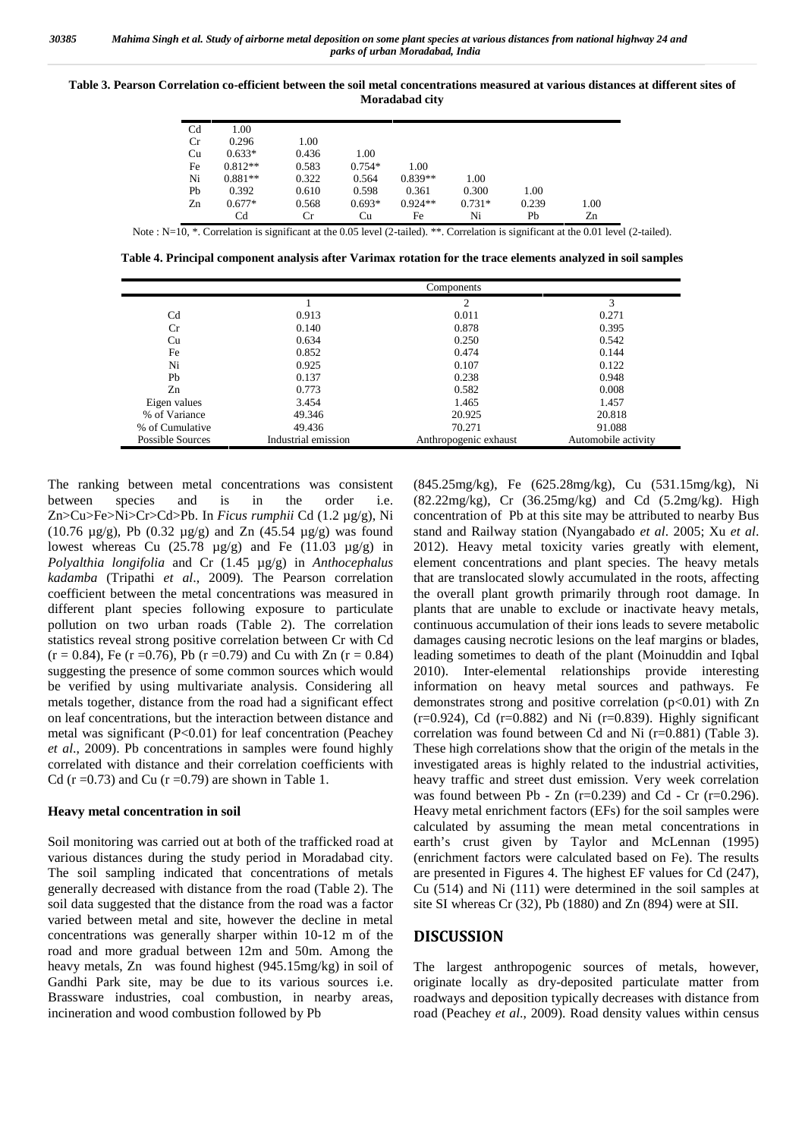**Table 3. Pearson Correlation co-efficient between the soil metal concentrations measured at various distances at different sites of Moradabad city**

| C <sub>d</sub><br>Cr | 1.00<br>0.296  | 1.00  |          |           |          |       |      |
|----------------------|----------------|-------|----------|-----------|----------|-------|------|
| Cu                   | $0.633*$       | 0.436 | 1.00     |           |          |       |      |
| Fe                   | $0.812**$      | 0.583 | $0.754*$ | 1.00      |          |       |      |
| Ni                   | $0.881**$      | 0.322 | 0.564    | $0.839**$ | 1.00     |       |      |
| Pb                   | 0.392          | 0.610 | 0.598    | 0.361     | 0.300    | 1.00  |      |
| Zn                   | $0.677*$       | 0.568 | $0.693*$ | $0.924**$ | $0.731*$ | 0.239 | 1.00 |
|                      | C <sub>d</sub> | Cr    | Cu       | Fe        | Ni       | Pb    | Zn   |

Note :  $N=10$ , \*. Correlation is significant at the 0.05 level (2-tailed), \*\*. Correlation is significant at the 0.01 level (2-tailed).

**Table 4. Principal component analysis after Varimax rotation for the trace elements analyzed in soil samples**

|                         | Components          |                       |                     |  |  |  |
|-------------------------|---------------------|-----------------------|---------------------|--|--|--|
|                         |                     | ↑                     | 3                   |  |  |  |
| C <sub>d</sub>          | 0.913               | 0.011                 | 0.271               |  |  |  |
| Cr                      | 0.140               | 0.878                 | 0.395               |  |  |  |
| Cu                      | 0.634               | 0.250                 | 0.542               |  |  |  |
| Fe                      | 0.852               | 0.474                 | 0.144               |  |  |  |
| Ni                      | 0.925               | 0.107                 | 0.122               |  |  |  |
| Pb                      | 0.137               | 0.238                 | 0.948               |  |  |  |
| Zn                      | 0.773               | 0.582                 | 0.008               |  |  |  |
| Eigen values            | 3.454               | 1.465                 | 1.457               |  |  |  |
| % of Variance           | 49.346              | 20.925                | 20.818              |  |  |  |
| % of Cumulative         | 49.436              | 70.271                | 91.088              |  |  |  |
| <b>Possible Sources</b> | Industrial emission | Anthropogenic exhaust | Automobile activity |  |  |  |

The ranking between metal concentrations was consistent between species and is in the order i.e. Zn>Cu>Fe>Ni>Cr>Cd>Pb. In *Ficus rumphii* Cd (1.2 µg/g), Ni (10.76 µg/g), Pb (0.32 µg/g) and Zn (45.54 µg/g) was found lowest whereas Cu  $(25.78 \text{ µg/g})$  and Fe  $(11.03 \text{ µg/g})$  in *Polyalthia longifolia* and Cr (1.45 µg/g) in *Anthocephalus kadamba* (Tripathi *et al*., 2009)*.* The Pearson correlation coefficient between the metal concentrations was measured in different plant species following exposure to particulate pollution on two urban roads (Table 2). The correlation statistics reveal strong positive correlation between Cr with Cd  $(r = 0.84)$ , Fe (r = 0.76), Pb (r = 0.79) and Cu with Zn (r = 0.84) suggesting the presence of some common sources which would be verified by using multivariate analysis. Considering all metals together, distance from the road had a significant effect on leaf concentrations, but the interaction between distance and metal was significant (P<0.01) for leaf concentration (Peachey *et al*., 2009). Pb concentrations in samples were found highly correlated with distance and their correlation coefficients with Cd ( $r = 0.73$ ) and Cu ( $r = 0.79$ ) are shown in Table 1.

#### **Heavy metal concentration in soil**

Soil monitoring was carried out at both of the trafficked road at various distances during the study period in Moradabad city. The soil sampling indicated that concentrations of metals generally decreased with distance from the road (Table 2). The soil data suggested that the distance from the road was a factor varied between metal and site, however the decline in metal concentrations was generally sharper within 10-12 m of the road and more gradual between 12m and 50m. Among the heavy metals, Zn was found highest (945.15mg/kg) in soil of Gandhi Park site, may be due to its various sources i.e. Brassware industries, coal combustion, in nearby areas, incineration and wood combustion followed by Pb

(845.25mg/kg), Fe (625.28mg/kg), Cu (531.15mg/kg), Ni (82.22mg/kg), Cr (36.25mg/kg) and Cd (5.2mg/kg). High concentration of Pb at this site may be attributed to nearby Bus stand and Railway station (Nyangabado *et al*. 2005; Xu *et al*. 2012). Heavy metal toxicity varies greatly with element, element concentrations and plant species. The heavy metals that are translocated slowly accumulated in the roots, affecting the overall plant growth primarily through root damage. In plants that are unable to exclude or inactivate heavy metals, continuous accumulation of their ions leads to severe metabolic damages causing necrotic lesions on the leaf margins or blades, leading sometimes to death of the plant (Moinuddin and Iqbal 2010). Inter-elemental relationships provide interesting information on heavy metal sources and pathways. Fe demonstrates strong and positive correlation  $(p<0.01)$  with Zn  $(r=0.924)$ , Cd  $(r=0.882)$  and Ni  $(r=0.839)$ . Highly significant correlation was found between Cd and Ni (r=0.881) (Table 3). These high correlations show that the origin of the metals in the investigated areas is highly related to the industrial activities, heavy traffic and street dust emission. Very week correlation was found between Pb - Zn  $(r=0.239)$  and Cd - Cr  $(r=0.296)$ . Heavy metal enrichment factors (EFs) for the soil samples were calculated by assuming the mean metal concentrations in earth's crust given by Taylor and McLennan (1995) (enrichment factors were calculated based on Fe). The results are presented in Figures 4. The highest EF values for Cd (247), Cu (514) and Ni (111) were determined in the soil samples at site SI whereas Cr (32), Pb (1880) and Zn (894) were at SII.

#### **DISCUSSION**

The largest anthropogenic sources of metals, however, originate locally as dry-deposited particulate matter from roadways and deposition typically decreases with distance from road (Peachey *et al*., 2009). Road density values within census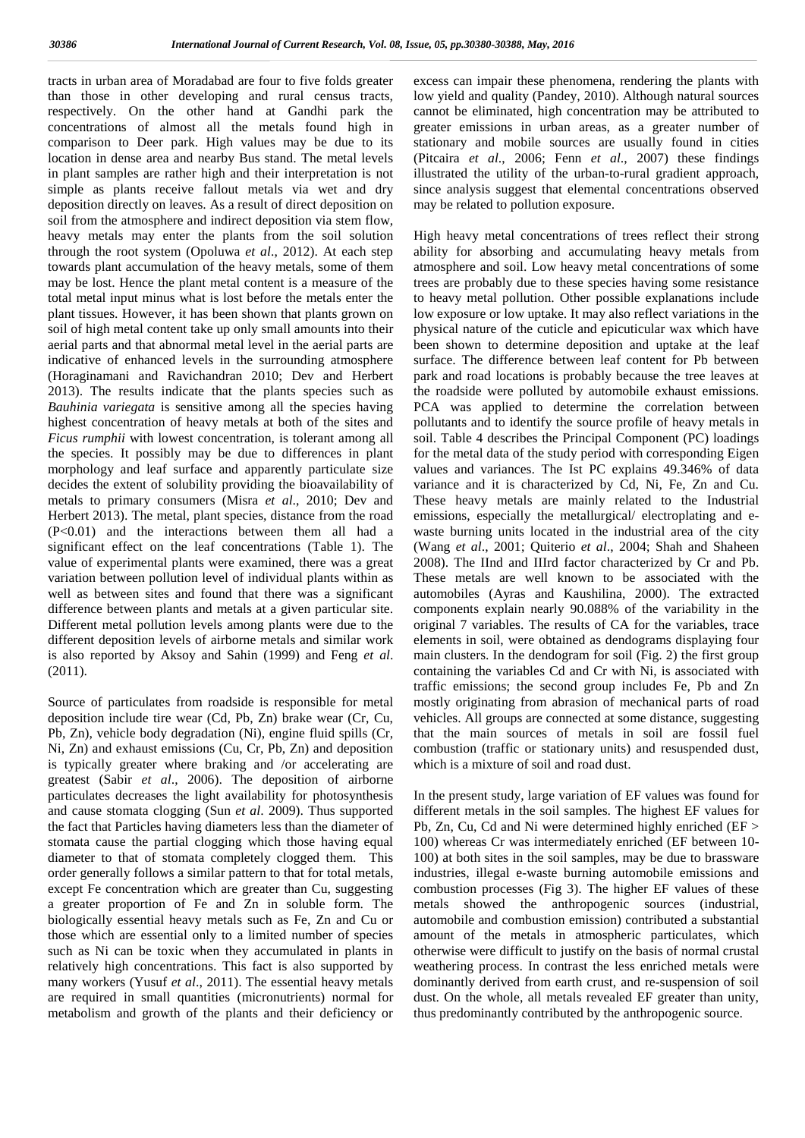tracts in urban area of Moradabad are four to five folds greater than those in other developing and rural census tracts, respectively. On the other hand at Gandhi park the concentrations of almost all the metals found high in comparison to Deer park. High values may be due to its location in dense area and nearby Bus stand. The metal levels in plant samples are rather high and their interpretation is not simple as plants receive fallout metals via wet and dry deposition directly on leaves. As a result of direct deposition on soil from the atmosphere and indirect deposition via stem flow, heavy metals may enter the plants from the soil solution through the root system (Opoluwa *et al*., 2012). At each step towards plant accumulation of the heavy metals, some of them may be lost. Hence the plant metal content is a measure of the total metal input minus what is lost before the metals enter the plant tissues. However, it has been shown that plants grown on soil of high metal content take up only small amounts into their aerial parts and that abnormal metal level in the aerial parts are indicative of enhanced levels in the surrounding atmosphere (Horaginamani and Ravichandran 2010; Dev and Herbert 2013). The results indicate that the plants species such as *Bauhinia variegata* is sensitive among all the species having highest concentration of heavy metals at both of the sites and *Ficus rumphii* with lowest concentration, is tolerant among all the species. It possibly may be due to differences in plant morphology and leaf surface and apparently particulate size decides the extent of solubility providing the bioavailability of metals to primary consumers (Misra *et al*., 2010; Dev and Herbert 2013). The metal, plant species, distance from the road (P<0.01) and the interactions between them all had a significant effect on the leaf concentrations (Table 1). The value of experimental plants were examined, there was a great variation between pollution level of individual plants within as well as between sites and found that there was a significant difference between plants and metals at a given particular site. Different metal pollution levels among plants were due to the different deposition levels of airborne metals and similar work is also reported by Aksoy and Sahin (1999) and Feng *et al*. (2011).

Source of particulates from roadside is responsible for metal deposition include tire wear (Cd, Pb, Zn) brake wear (Cr, Cu, Pb, Zn), vehicle body degradation (Ni), engine fluid spills (Cr, Ni, Zn) and exhaust emissions (Cu, Cr, Pb, Zn) and deposition is typically greater where braking and /or accelerating are greatest (Sabir *et al*., 2006). The deposition of airborne particulates decreases the light availability for photosynthesis and cause stomata clogging (Sun *et al*. 2009). Thus supported the fact that Particles having diameters less than the diameter of stomata cause the partial clogging which those having equal diameter to that of stomata completely clogged them. This order generally follows a similar pattern to that for total metals, except Fe concentration which are greater than Cu, suggesting a greater proportion of Fe and Zn in soluble form. The biologically essential heavy metals such as Fe, Zn and Cu or those which are essential only to a limited number of species such as Ni can be toxic when they accumulated in plants in relatively high concentrations. This fact is also supported by many workers (Yusuf *et al*., 2011). The essential heavy metals are required in small quantities (micronutrients) normal for metabolism and growth of the plants and their deficiency or

excess can impair these phenomena, rendering the plants with low yield and quality (Pandey, 2010). Although natural sources cannot be eliminated, high concentration may be attributed to greater emissions in urban areas, as a greater number of stationary and mobile sources are usually found in cities (Pitcaira *et al*., 2006; Fenn *et al*., 2007) these findings illustrated the utility of the urban-to-rural gradient approach, since analysis suggest that elemental concentrations observed may be related to pollution exposure.

High heavy metal concentrations of trees reflect their strong ability for absorbing and accumulating heavy metals from atmosphere and soil. Low heavy metal concentrations of some trees are probably due to these species having some resistance to heavy metal pollution. Other possible explanations include low exposure or low uptake. It may also reflect variations in the physical nature of the cuticle and epicuticular wax which have been shown to determine deposition and uptake at the leaf surface. The difference between leaf content for Pb between park and road locations is probably because the tree leaves at the roadside were polluted by automobile exhaust emissions. PCA was applied to determine the correlation between pollutants and to identify the source profile of heavy metals in soil. Table 4 describes the Principal Component (PC) loadings for the metal data of the study period with corresponding Eigen values and variances. The Ist PC explains 49.346% of data variance and it is characterized by Cd, Ni, Fe, Zn and Cu. These heavy metals are mainly related to the Industrial emissions, especially the metallurgical/ electroplating and e waste burning units located in the industrial area of the city (Wang *et al*., 2001; Quiterio *et al*., 2004; Shah and Shaheen 2008). The IInd and IIIrd factor characterized by Cr and Pb. These metals are well known to be associated with the automobiles (Ayras and Kaushilina, 2000). The extracted components explain nearly 90.088% of the variability in the original 7 variables. The results of CA for the variables, trace elements in soil, were obtained as dendograms displaying four main clusters. In the dendogram for soil (Fig. 2) the first group containing the variables Cd and Cr with Ni, is associated with traffic emissions; the second group includes Fe, Pb and Zn mostly originating from abrasion of mechanical parts of road vehicles. All groups are connected at some distance, suggesting that the main sources of metals in soil are fossil fuel combustion (traffic or stationary units) and resuspended dust, which is a mixture of soil and road dust.

In the present study, large variation of EF values was found for different metals in the soil samples. The highest EF values for Pb, Zn, Cu, Cd and Ni were determined highly enriched (EF > 100) whereas Cr was intermediately enriched (EF between 10- 100) at both sites in the soil samples, may be due to brassware industries, illegal e-waste burning automobile emissions and combustion processes (Fig 3). The higher EF values of these metals showed the anthropogenic sources (industrial, automobile and combustion emission) contributed a substantial amount of the metals in atmospheric particulates, which otherwise were difficult to justify on the basis of normal crustal weathering process. In contrast the less enriched metals were dominantly derived from earth crust, and re-suspension of soil dust. On the whole, all metals revealed EF greater than unity, thus predominantly contributed by the anthropogenic source.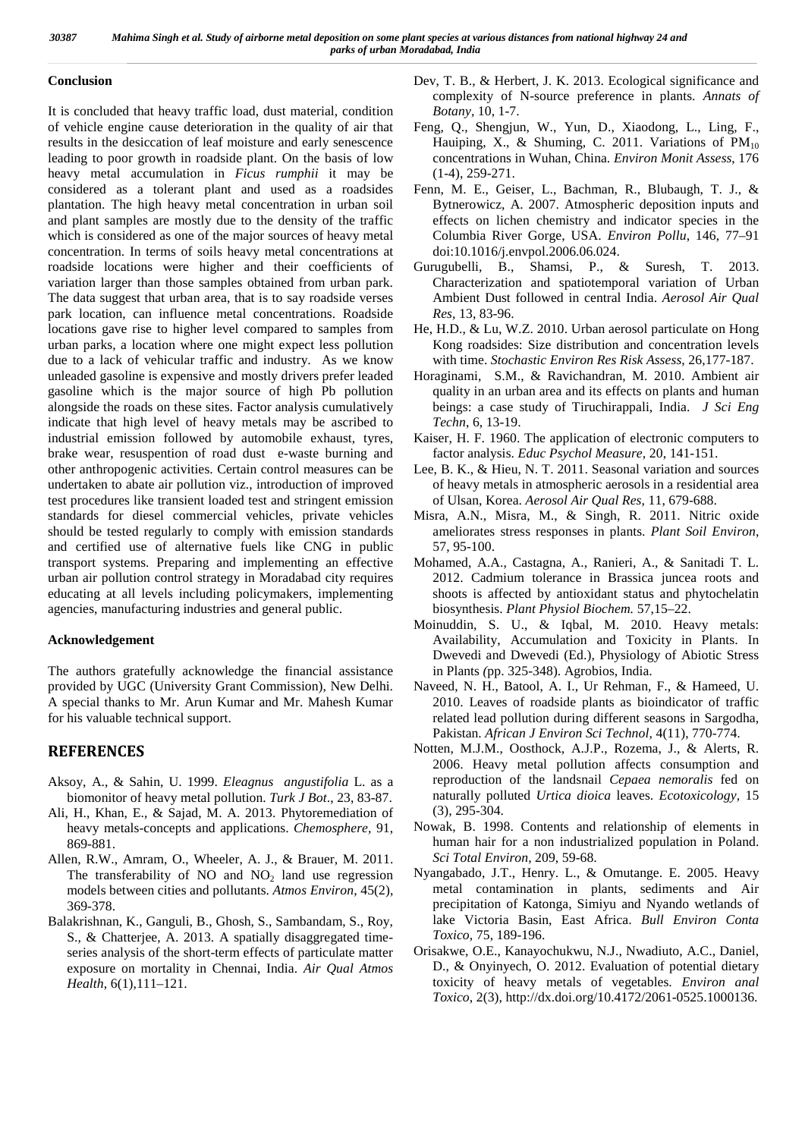#### **Conclusion**

It is concluded that heavy traffic load, dust material, condition of vehicle engine cause deterioration in the quality of air that results in the desiccation of leaf moisture and early senescence leading to poor growth in roadside plant. On the basis of low heavy metal accumulation in *Ficus rumphii* it may be considered as a tolerant plant and used as a roadsides plantation. The high heavy metal concentration in urban soil and plant samples are mostly due to the density of the traffic which is considered as one of the major sources of heavy metal concentration. In terms of soils heavy metal concentrations at roadside locations were higher and their coefficients of variation larger than those samples obtained from urban park. The data suggest that urban area, that is to say roadside verses park location, can influence metal concentrations. Roadside locations gave rise to higher level compared to samples from urban parks, a location where one might expect less pollution due to a lack of vehicular traffic and industry. As we know unleaded gasoline is expensive and mostly drivers prefer leaded gasoline which is the major source of high Pb pollution alongside the roads on these sites. Factor analysis cumulatively indicate that high level of heavy metals may be ascribed to industrial emission followed by automobile exhaust, tyres, brake wear, resuspention of road dust e-waste burning and other anthropogenic activities. Certain control measures can be undertaken to abate air pollution viz., introduction of improved test procedures like transient loaded test and stringent emission standards for diesel commercial vehicles, private vehicles should be tested regularly to comply with emission standards and certified use of alternative fuels like CNG in public transport systems. Preparing and implementing an effective urban air pollution control strategy in Moradabad city requires educating at all levels including policymakers, implementing agencies, manufacturing industries and general public.

### **Acknowledgement**

The authors gratefully acknowledge the financial assistance provided by UGC (University Grant Commission), New Delhi. A special thanks to Mr. Arun Kumar and Mr. Mahesh Kumar for his valuable technical support.

# **REFERENCES**

- Aksoy, A., & Sahin, U. 1999. *Eleagnus angustifolia* L. as a biomonitor of heavy metal pollution. *Turk J Bot*., 23, 83-87.
- Ali, H., Khan, E., & Sajad, M. A. 2013. Phytoremediation of heavy metals-concepts and applications. *Chemosphere,* 91, 869-881.
- Allen, R.W., Amram, O., Wheeler, A. J., & Brauer, M. 2011. The transferability of NO and  $NO<sub>2</sub>$  land use regression models between cities and pollutants. *Atmos Environ*, 45(2), 369-378.
- Balakrishnan, K., Ganguli, B., Ghosh, S., Sambandam, S., Roy, S., & Chatterjee, A. 2013. A spatially disaggregated time series analysis of the short-term effects of particulate matter exposure on mortality in Chennai, India. *Air Qual Atmos Health*, 6(1),111–121.

Dev, T. B., & Herbert, J. K. 2013. Ecological significance and complexity of N-source preference in plants. *Annats of Botany,* 10, 1-7.

- Feng, Q., Shengjun, W., Yun, D., Xiaodong, L., Ling, F., Hauiping, X., & Shuming, C. 2011. Variations of  $PM_{10}$ concentrations in Wuhan, China. *Environ Monit Assess*, 176 (1-4), 259-271.
- Fenn, M. E., Geiser, L., Bachman, R., Blubaugh, T. J., & Bytnerowicz, A. 2007. Atmospheric deposition inputs and effects on lichen chemistry and indicator species in the Columbia River Gorge, USA. *Environ Pollu*, 146, 77–91 doi:10.1016/j.envpol.2006.06.024.
- Gurugubelli, B., Shamsi, P., & Suresh, T. 2013. Characterization and spatiotemporal variation of Urban Ambient Dust followed in central India. *Aerosol Air Qual Res*, 13, 83-96.
- He, H.D., & Lu, W.Z. 2010. Urban aerosol particulate on Hong Kong roadsides: Size distribution and concentration levels with time. *Stochastic Environ Res Risk Assess*, 26,177-187.
- Horaginami, S.M., & Ravichandran, M. 2010. Ambient air quality in an urban area and its effects on plants and human beings: a case study of Tiruchirappali, India. *J Sci Eng Techn*, 6, 13-19.
- Kaiser, H. F. 1960. The application of electronic computers to factor analysis. *Educ Psychol Measure*, 20, 141-151.
- Lee, B. K., & Hieu, N. T. 2011. Seasonal variation and sources of heavy metals in atmospheric aerosols in a residential area of Ulsan, Korea. *Aerosol Air Qual Res*, 11, 679-688.
- Misra, A.N., Misra, M., & Singh, R. 2011. Nitric oxide ameliorates stress responses in plants. *Plant Soil Environ*, 57, 95-100.
- Mohamed, A.A., Castagna, A., Ranieri, A., & Sanitadi T. L. 2012. Cadmium tolerance in Brassica juncea roots and shoots is affected by antioxidant status and phytochelatin biosynthesis. *Plant Physiol Biochem.* 57,15–22.
- Moinuddin, S. U., & Iqbal, M. 2010. Heavy metals: Availability, Accumulation and Toxicity in Plants. In Dwevedi and Dwevedi (Ed.), Physiology of Abiotic Stress in Plants *(*pp. 325-348). Agrobios, India.
- Naveed, N. H., Batool, A. I., Ur Rehman, F., & Hameed, U. 2010. Leaves of roadside plants as bioindicator of traffic related lead pollution during different seasons in Sargodha, Pakistan. *African J Environ Sci Technol,* 4(11), 770-774.
- Notten, M.J.M., Oosthock, A.J.P., Rozema, J., & Alerts, R. 2006. Heavy metal pollution affects consumption and reproduction of the landsnail *Cepaea nemoralis* fed on naturally polluted *Urtica dioica* leaves. *Ecotoxicology,* 15 (3), 295-304.
- Nowak, B. 1998. Contents and relationship of elements in human hair for a non industrialized population in Poland. *Sci Total Environ*, 209, 59-68.
- Nyangabado, J.T., Henry. L., & Omutange. E. 2005. Heavy metal contamination in plants, sediments and Air precipitation of Katonga, Simiyu and Nyando wetlands of lake Victoria Basin, East Africa. *Bull Environ Conta Toxico*, 75, 189-196.
- Orisakwe, O.E., Kanayochukwu, N.J., Nwadiuto, A.C., Daniel, D., & Onyinyech, O. 2012. Evaluation of potential dietary toxicity of heavy metals of vegetables. *Environ anal Toxico*, 2(3), http://dx.doi.org/10.4172/2061-0525.1000136.